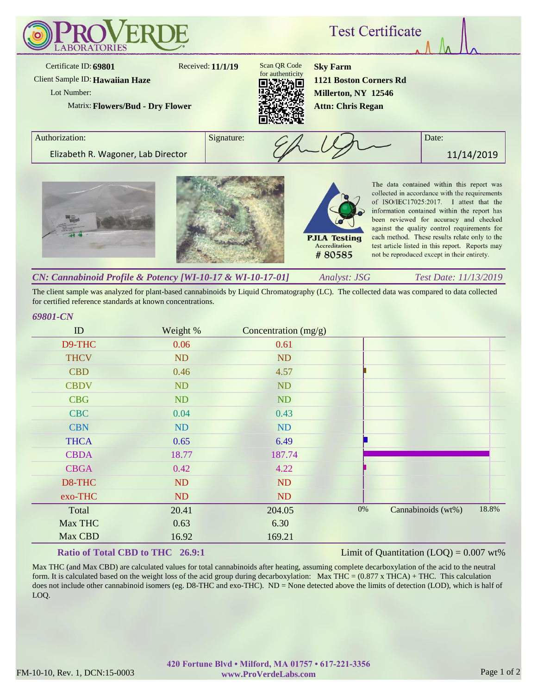

*Analyst: JSG Test Date: 11/13/2019 CN: Cannabinoid Profile & Potency [WI-10-17 & WI-10-17-01]*

The client sample was analyzed for plant-based cannabinoids by Liquid Chromatography (LC). The collected data was compared to data collected for certified reference standards at known concentrations.

## *69801-CN*

| ID          | Weight %  | Concentration $(mg/g)$ |       |                    |       |
|-------------|-----------|------------------------|-------|--------------------|-------|
| D9-THC      | 0.06      | 0.61                   |       |                    |       |
| <b>THCV</b> | ND        | <b>ND</b>              |       |                    |       |
| <b>CBD</b>  | 0.46      | 4.57                   |       |                    |       |
| <b>CBDV</b> | ND        | <b>ND</b>              |       |                    |       |
| <b>CBG</b>  | ND        | <b>ND</b>              |       |                    |       |
| <b>CBC</b>  | 0.04      | 0.43                   |       |                    |       |
| <b>CBN</b>  | <b>ND</b> | <b>ND</b>              |       |                    |       |
| <b>THCA</b> | 0.65      | 6.49                   |       |                    |       |
| <b>CBDA</b> | 18.77     | 187.74                 |       |                    |       |
| <b>CBGA</b> | 0.42      | 4.22                   |       |                    |       |
| D8-THC      | ND        | <b>ND</b>              |       |                    |       |
| exo-THC     | ND        | <b>ND</b>              |       |                    |       |
| Total       | 20.41     | 204.05                 | $0\%$ | Cannabinoids (wt%) | 18.8% |
| Max THC     | 0.63      | 6.30                   |       |                    |       |
| Max CBD     | 16.92     | 169.21                 |       |                    |       |

## **Ratio of Total CBD to THC 26.9:1**

Limit of Quantitation  $(LOQ) = 0.007$  wt%

Max THC (and Max CBD) are calculated values for total cannabinoids after heating, assuming complete decarboxylation of the acid to the neutral form. It is calculated based on the weight loss of the acid group during decarboxylation: Max THC =  $(0.877 \times THCA) + THC$ . This calculation does not include other cannabinoid isomers (eg. D8-THC and exo-THC). ND = None detected above the limits of detection (LOD), which is half of LOQ.